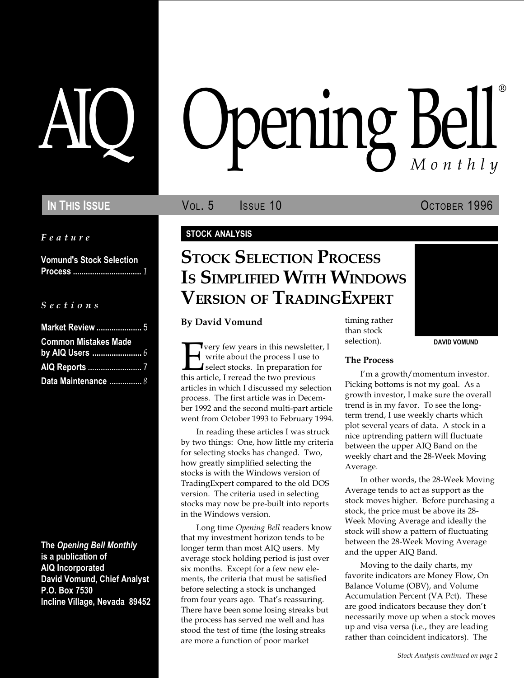Feature

Vomund's Stock Selection Process ................................ 1

### S e c t i o n s

| <b>Market Review  5</b>     |  |
|-----------------------------|--|
| <b>Common Mistakes Made</b> |  |
|                             |  |
|                             |  |
| Data Maintenance  8         |  |

The Opening Bell Monthly is a publication of AIQ Incorporated David Vomund, Chief Analyst P.O. Box 7530 Incline Village, Nevada 89452

# pening Bell ®

IN THIS ISSUE **VOL. 5** ISSUE 10 OCTOBER 1996

DAVID VOMUND

### STOCK ANALYSIS

# **STOCK SELECTION PROCESS** IS SIMPLIFIED WITH WINDOWS VERSION OF TRADINGEXPERT

By David Vomund

Very few years in this newsletter, I<br>write about the process I use to<br>select stocks. In preparation for<br>this article, I reread the two previous write about the process I use to select stocks. In preparation for this article, I reread the two previous articles in which I discussed my selection process. The first article was in December 1992 and the second multi-part article went from October 1993 to February 1994.

In reading these articles I was struck by two things: One, how little my criteria for selecting stocks has changed. Two, how greatly simplified selecting the stocks is with the Windows version of TradingExpert compared to the old DOS version. The criteria used in selecting stocks may now be pre-built into reports in the Windows version.

Long time Opening Bell readers know that my investment horizon tends to be longer term than most AIQ users. My average stock holding period is just over six months. Except for a few new elements, the criteria that must be satisfied before selecting a stock is unchanged from four years ago. That's reassuring. There have been some losing streaks but the process has served me well and has stood the test of time (the losing streaks are more a function of poor market

timing rather than stock selection).

### The Process

I'm a growth/momentum investor. Picking bottoms is not my goal. As a growth investor, I make sure the overall trend is in my favor. To see the longterm trend, I use weekly charts which plot several years of data. A stock in a nice uptrending pattern will fluctuate between the upper AIQ Band on the weekly chart and the 28-Week Moving Average.

In other words, the 28-Week Moving Average tends to act as support as the stock moves higher. Before purchasing a stock, the price must be above its 28- Week Moving Average and ideally the stock will show a pattern of fluctuating between the 28-Week Moving Average and the upper AIQ Band.

Moving to the daily charts, my favorite indicators are Money Flow, On Balance Volume (OBV), and Volume Accumulation Percent (VA Pct). These are good indicators because they don't necessarily move up when a stock moves up and visa versa (i.e., they are leading rather than coincident indicators). The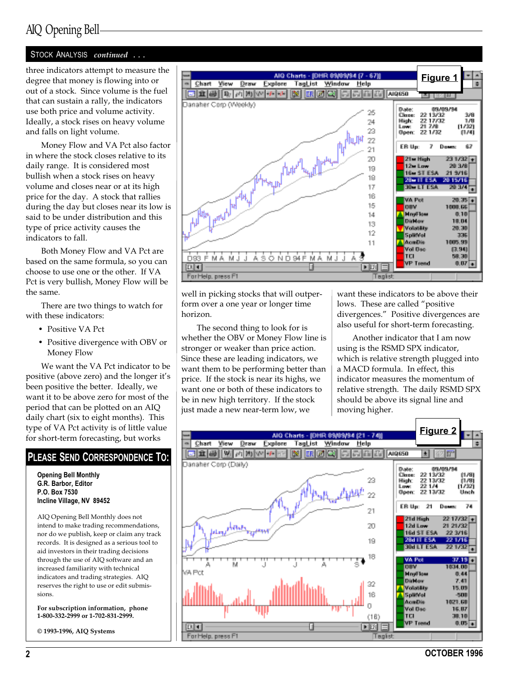### AIQ Opening Bell

### STOCK ANALYSIS continued ...

degree that money is flowing into or out of a stock. Since volume is the fuel that can sustain a rally, the indicators use both price and volume activity. Ideally, a stock rises on heavy volume and falls on light volume.

Money Flow and VA Pct also factor in where the stock closes relative to its daily range. It is considered most bullish when a stock rises on heavy volume and closes near or at its high price for the day. A stock that rallies during the day but closes near its low is said to be under distribution and this type of price activity causes the indicators to fall.

Both Money Flow and VA Pct are based on the same formula, so you can choose to use one or the other. If VA Pct is very bullish, Money Flow will be the same.

There are two things to watch for with these indicators:

- Positive VA Pct
- Positive divergence with OBV or Money Flow

We want the VA Pct indicator to be positive (above zero) and the longer it's been positive the better. Ideally, we want it to be above zero for most of the period that can be plotted on an AIQ daily chart (six to eight months). This type of VA Pct activity is of little value for short-term forecasting, but works

### PLEASE SEND CORRESPONDENCE TO:

Opening Bell Monthly G.R. Barbor, Editor P.O. Box 7530 Incline Village, NV 89452

AIQ Opening Bell Monthly does not intend to make trading recommendations, nor do we publish, keep or claim any track records. It is designed as a serious tool to aid investors in their trading decisions through the use of AIQ software and an increased familiarity with technical indicators and trading strategies. AIQ reserves the right to use or edit submissions.

For subscription information, phone 1-800-332-2999 or 1-702-831-2999.

© 1993-1996, AIQ Systems



well in picking stocks that will outperform over a one year or longer time horizon.

The second thing to look for is whether the OBV or Money Flow line is stronger or weaker than price action. Since these are leading indicators, we want them to be performing better than price. If the stock is near its highs, we want one or both of these indicators to be in new high territory. If the stock just made a new near-term low, we

want these indicators to be above their lows. These are called "positive" divergences." Positive divergences are also useful for short-term forecasting.

Another indicator that I am now using is the RSMD SPX indicator, which is relative strength plugged into a MACD formula. In effect, this indicator measures the momentum of relative strength. The daily RSMD SPX should be above its signal line and moving higher.

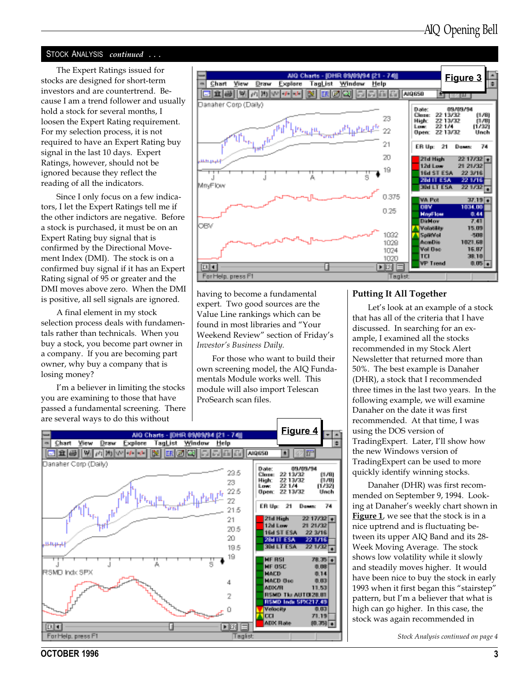### STOCK ANALYSIS continued ...

The Expert Ratings issued for stocks are designed for short-term investors and are countertrend. Because I am a trend follower and usually hold a stock for several months, I loosen the Expert Rating requirement. For my selection process, it is not required to have an Expert Rating buy signal in the last 10 days. Expert Ratings, however, should not be ignored because they reflect the reading of all the indicators.

Since I only focus on a few indicators, I let the Expert Ratings tell me if the other indictors are negative. Before a stock is purchased, it must be on an Expert Rating buy signal that is confirmed by the Directional Movement Index (DMI). The stock is on a confirmed buy signal if it has an Expert Rating signal of 95 or greater and the DMI moves above zero. When the DMI is positive, all sell signals are ignored.

A final element in my stock selection process deals with fundamentals rather than technicals. When you buy a stock, you become part owner in a company. If you are becoming part owner, why buy a company that is losing money?

I'm a believer in limiting the stocks you are examining to those that have passed a fundamental screening. There are several ways to do this without



having to become a fundamental expert. Two good sources are the Value Line rankings which can be found in most libraries and "Your Weekend Review" section of Friday's Investor's Business Daily.

For those who want to build their own screening model, the AIQ Fundamentals Module works well. This module will also import Telescan ProSearch scan files.



#### Putting It All Together

Let's look at an example of a stock that has all of the criteria that I have discussed. In searching for an example, I examined all the stocks recommended in my Stock Alert Newsletter that returned more than 50%. The best example is Danaher (DHR), a stock that I recommended three times in the last two years. In the following example, we will examine Danaher on the date it was first recommended. At that time, I was using the DOS version of TradingExpert. Later, I'll show how the new Windows version of TradingExpert can be used to more quickly identify winning stocks.

Danaher (DHR) was first recommended on September 9, 1994. Looking at Danaher's weekly chart shown in Figure 1, we see that the stock is in a nice uptrend and is fluctuating between its upper AIQ Band and its 28- Week Moving Average. The stock shows low volatility while it slowly and steadily moves higher. It would have been nice to buy the stock in early 1993 when it first began this "stairstep" pattern, but I'm a believer that what is high can go higher. In this case, the stock was again recommended in

Stock Analysis continued on page 4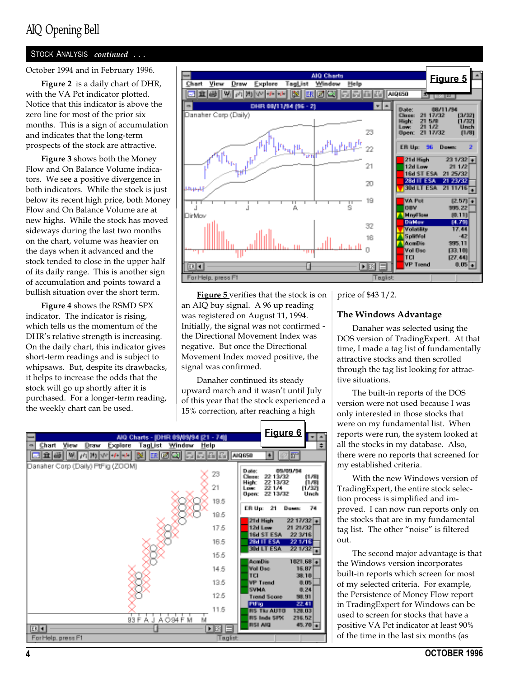### AIQ Opening Bell

### STOCK ANALYSIS continued ...

Figure 2 is a daily chart of DHR, with the VA Pct indicator plotted. Notice that this indicator is above the zero line for most of the prior six months. This is a sign of accumulation and indicates that the long-term prospects of the stock are attractive.

**Figure 3** shows both the Money Flow and On Balance Volume indicators. We see a positive divergence in both indicators. While the stock is just below its recent high price, both Money Flow and On Balance Volume are at new highs. While the stock has moved sideways during the last two months on the chart, volume was heavier on the days when it advanced and the stock tended to close in the upper half of its daily range. This is another sign of accumulation and points toward a bullish situation over the short term.

Figure 4 shows the RSMD SPX indicator. The indicator is rising, which tells us the momentum of the DHR's relative strength is increasing. On the daily chart, this indicator gives short-term readings and is subject to whipsaws. But, despite its drawbacks, it helps to increase the odds that the stock will go up shortly after it is purchased. For a longer-term reading, the weekly chart can be used.



Figure 5 verifies that the stock is on an AIQ buy signal. A 96 up reading was registered on August 11, 1994. Initially, the signal was not confirmed the Directional Movement Index was negative. But once the Directional Movement Index moved positive, the signal was confirmed.

Danaher continued its steady upward march and it wasn't until July of this year that the stock experienced a 15% correction, after reaching a high

|                                    | AIO Charts - 前庄内 电抽象参考 位1 - 74篇     |                       | Figure 6<br>w.                                             |
|------------------------------------|-------------------------------------|-----------------------|------------------------------------------------------------|
| Chart<br>Vilew.<br>Explore<br>Draw | TagList<br>Window                   | Help                  | ÷                                                          |
| RИ<br>DA N<br>● 手を                 | м<br>Dδ.<br>the list<br>甌<br>lin d  | 區<br>圖<br><b>HELM</b> | 449650<br>m<br>土                                           |
| Danahar Corp (Daily) PtFig (ZOOM)  |                                     |                       |                                                            |
|                                    |                                     | 23                    | Dolle:<br>03/03/34<br>99.19.799<br><b>Closed</b><br>11.791 |
|                                    |                                     | 21                    | Hight<br>22.13/32<br>пля<br>221/4<br>ri/321<br><b>Low:</b> |
|                                    |                                     |                       | 22.13/32<br><b>Doen:</b><br>Unch                           |
|                                    |                                     | 19.5                  |                                                            |
|                                    |                                     | 18.5                  | 74<br>ER Um<br>21<br>Down                                  |
|                                    |                                     |                       | 21d High<br>$2217/32 +$                                    |
|                                    |                                     | 17.5                  | 12d Low<br>21 21 32<br>22.3/16<br>16d ST ESA               |
|                                    |                                     | 16.5                  | 221716<br>25d TT ESA                                       |
|                                    |                                     |                       | 医阿斯卡切<br><b>Page Type</b>                                  |
|                                    |                                     | 16.6                  | La rum bile.<br>1021.58                                    |
|                                    |                                     | 14.5                  | <b>Moll Disp</b><br>16,87                                  |
|                                    |                                     |                       | TEL<br><b>7818</b>                                         |
|                                    |                                     | 13.5                  | VP Trend<br>自服<br><b>SVMA</b><br>电 24                      |
|                                    |                                     | 12.5                  | <b>Trend Score</b><br><b>SE ST</b>                         |
|                                    |                                     |                       | 22.41<br>Piling                                            |
|                                    |                                     | 11.5                  | <b>RS Tkr AUTO</b><br>128,03<br>RS lady SPA<br>216,52      |
|                                    | 兵<br>93.<br>F<br>A O 94 F<br>М<br>J | м                     | <b>RSI AIO</b><br>45.79 元                                  |
| 医回                                 |                                     | $ F $ $E$ $E$         |                                                            |
| For Help, press F1                 |                                     | Taglist               |                                                            |

price of \$43 1/2.

### The Windows Advantage

Danaher was selected using the DOS version of TradingExpert. At that time, I made a tag list of fundamentally attractive stocks and then scrolled through the tag list looking for attractive situations.

The built-in reports of the DOS version were not used because I was only interested in those stocks that were on my fundamental list. When reports were run, the system looked at all the stocks in my database. Also, there were no reports that screened for my established criteria.

With the new Windows version of TradingExpert, the entire stock selection process is simplified and improved. I can now run reports only on the stocks that are in my fundamental tag list. The other "noise" is filtered out.

The second major advantage is that the Windows version incorporates built-in reports which screen for most of my selected criteria. For example, the Persistence of Money Flow report in TradingExpert for Windows can be used to screen for stocks that have a positive VA Pct indicator at least 90% of the time in the last six months (as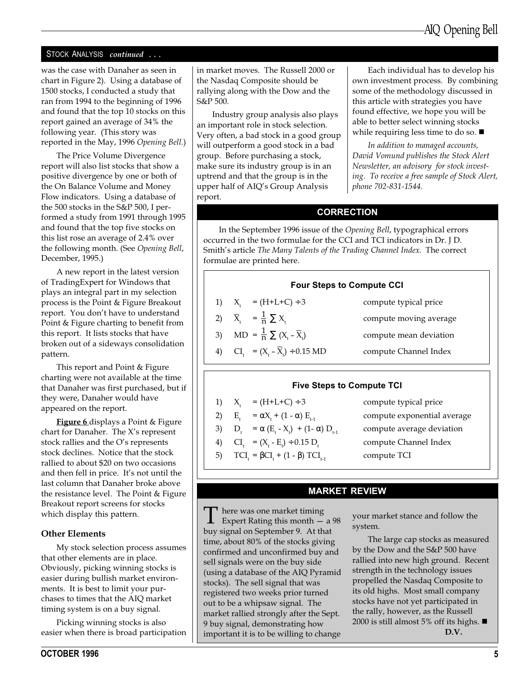### STOCK ANALYSIS continued ...

was the case with Danaher as seen in chart in Figure 2). Using a database of 1500 stocks, I conducted a study that ran from 1994 to the beginning of 1996 and found that the top 10 stocks on this report gained an average of 34% the following year. (This story was reported in the May, 1996 Opening Bell.)

The Price Volume Divergence report will also list stocks that show a positive divergence by one or both of the On Balance Volume and Money Flow indicators. Using a database of the 500 stocks in the S&P 500, I performed a study from 1991 through 1995 and found that the top five stocks on this list rose an average of 2.4% over the following month. (See Opening Bell, December, 1995.)

A new report in the latest version of TradingExpert for Windows that plays an integral part in my selection process is the Point & Figure Breakout report. You don't have to understand Point & Figure charting to benefit from this report. It lists stocks that have broken out of a sideways consolidation pattern.

This report and Point & Figure charting were not available at the time that Danaher was first purchased, but if they were, Danaher would have appeared on the report.

**Figure 6** displays a Point & Figure chart for Danaher. The  $X$ 's represent stock rallies and the O's represents stock declines. Notice that the stock rallied to about \$20 on two occasions and then fell in price. It's not until the last column that Danaher broke above the resistance level. The Point & Figure Breakout report screens for stocks which display this pattern.

### Other Elements

My stock selection process assumes that other elements are in place. Obviously, picking winning stocks is easier during bullish market environments. It is best to limit your purchases to times that the AIQ market timing system is on a buy signal.

Picking winning stocks is also easier when there is broad participation

october 1996 in the state of the state of the state of the state of the state of the state of the state of the state of the state of the state of the state of the state of the state of the state of the state of the state o

in market moves. The Russell 2000 or the Nasdaq Composite should be rallying along with the Dow and the S&P 500.

Industry group analysis also plays an important role in stock selection. Very often, a bad stock in a good group will outperform a good stock in a bad group. Before purchasing a stock, make sure its industry group is in an uptrend and that the group is in the upper half of AIQ's Group Analysis report.

Each individual has to develop his own investment process. By combining some of the methodology discussed in this article with strategies you have found effective, we hope you will be able to better select winning stocks while requiring less time to do so.  $\blacksquare$ 

In addition to managed accounts, David Vomund publishes the Stock Alert Newsletter, an advisory for stock investing. To receive a free sample of Stock Alert, phone 702-831-1544.

### **CORRECTION**

In the September 1996 issue of the Opening Bell, typographical errors occurred in the two formulae for the CCI and TCI indicators in Dr. J D. Smith's article The Many Talents of the Trading Channel Index. The correct formulae are printed here.

### Four Steps to Compute CCI

| 1) $X_i = (H + L + C) \div 3$                                      | compute typical price  |
|--------------------------------------------------------------------|------------------------|
| 2) $\overline{X}_{i} = \frac{1}{n} \sum X_{i}$                     | compute moving average |
| 3) MD = $\frac{1}{p} \sum (X_i - \overline{X}_i)$                  | compute mean deviation |
| 4) CI <sub>1</sub> = $(X_1 - \overline{X}_1) \div 0.15 \text{ MD}$ | compute Channel Index  |
|                                                                    |                        |

### Five Steps to Compute TCI

1)  $X_t = (H + L + C) \div 3$  compute typical price

- 2)  $E_t = \alpha X_t + (1 \alpha) E_{t-1}$
- 3)  $D_t = \alpha (E_t X_t)$
- 4)  $CI_t = (X_t E_t$
- 5)  $TCI_t = \beta CI_t + (1 \beta) TCI_{t-1}$  compute TCI

compute exponential average compute average deviation compute Channel Index

### MARKET REVIEW

 $\prod$  here was one market timing<br>Expert Rating this month  $-$  a 98<br>hyperized an Centember 0, At that buy signal on September 9. At that time, about 80% of the stocks giving confirmed and unconfirmed buy and sell signals were on the buy side (using a database of the AIQ Pyramid stocks). The sell signal that was registered two weeks prior turned out to be a whipsaw signal. The market rallied strongly after the Sept. 9 buy signal, demonstrating how important it is to be willing to change

your market stance and follow the system.

The large cap stocks as measured by the Dow and the S&P 500 have rallied into new high ground. Recent strength in the technology issues propelled the Nasdaq Composite to its old highs. Most small company stocks have not yet participated in the rally, however, as the Russell 2000 is still almost 5% off its highs.  $\blacksquare$ D.V.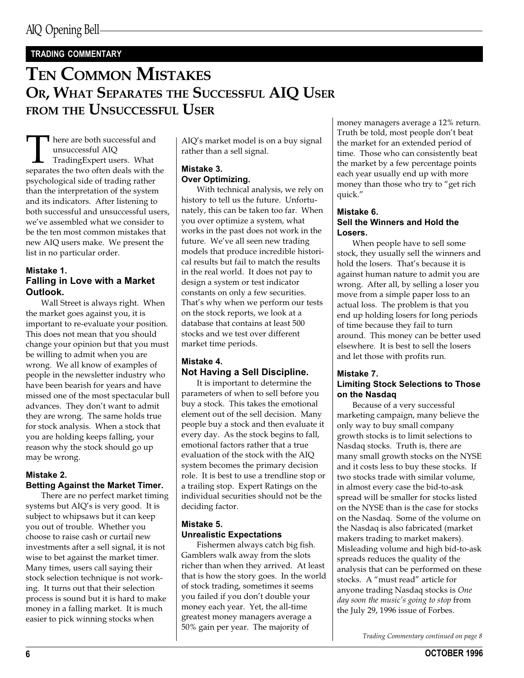### TRADING COMMENTARY

### TEN COMMON MISTAKES OR, WHAT SEPARATES THE SUCCESSFUL AIQ USER FROM THE UNSUCCESSFUL USER

There are both successful and<br>unsuccessful AIQ<br>TradingExpert users. What<br>separates the two often deals with the unsuccessful AIQ TradingExpert users. What psychological side of trading rather than the interpretation of the system and its indicators. After listening to both successful and unsuccessful users, we've assembled what we consider to be the ten most common mistakes that new AIQ users make. We present the list in no particular order.

### Mistake 1. Falling in Love with a Market Outlook.

Wall Street is always right. When the market goes against you, it is important to re-evaluate your position. This does not mean that you should change your opinion but that you must be willing to admit when you are wrong. We all know of examples of people in the newsletter industry who have been bearish for years and have missed one of the most spectacular bull advances. They don't want to admit they are wrong. The same holds true for stock analysis. When a stock that you are holding keeps falling, your reason why the stock should go up may be wrong.

### Mistake 2. Betting Against the Market Timer.

There are no perfect market timing systems but AIO's is very good. It is subject to whipsaws but it can keep you out of trouble. Whether you choose to raise cash or curtail new investments after a sell signal, it is not wise to bet against the market timer. Many times, users call saying their stock selection technique is not working. It turns out that their selection process is sound but it is hard to make money in a falling market. It is much easier to pick winning stocks when

AIQ's market model is on a buy signal rather than a sell signal.

### Mistake 3. Over Optimizing.

With technical analysis, we rely on history to tell us the future. Unfortunately, this can be taken too far. When you over optimize a system, what works in the past does not work in the future. We've all seen new trading models that produce incredible historical results but fail to match the results in the real world. It does not pay to design a system or test indicator constants on only a few securities. That's why when we perform our tests on the stock reports, we look at a database that contains at least 500 stocks and we test over different market time periods.

### Mistake 4. Not Having a Sell Discipline.

It is important to determine the parameters of when to sell before you buy a stock. This takes the emotional element out of the sell decision. Many people buy a stock and then evaluate it every day. As the stock begins to fall, emotional factors rather that a true evaluation of the stock with the AIQ system becomes the primary decision role. It is best to use a trendline stop or a trailing stop. Expert Ratings on the individual securities should not be the deciding factor.

### Mistake 5. Unrealistic Expectations

Fishermen always catch big fish. Gamblers walk away from the slots richer than when they arrived. At least that is how the story goes. In the world of stock trading, sometimes it seems you failed if you don't double your money each year. Yet, the all-time greatest money managers average a 50% gain per year. The majority of

money managers average a 12% return. Truth be told, most people don't beat the market for an extended period of time. Those who can consistently beat the market by a few percentage points each year usually end up with more money than those who try to "get rich quick.

### Mistake 6. Sell the Winners and Hold the Losers.

When people have to sell some stock, they usually sell the winners and hold the losers. That's because it is against human nature to admit you are wrong. After all, by selling a loser you move from a simple paper loss to an actual loss. The problem is that you end up holding losers for long periods of time because they fail to turn around. This money can be better used elsewhere. It is best to sell the losers and let those with profits run.

### Mistake 7. Limiting Stock Selections to Those on the Nasdaq

Because of a very successful marketing campaign, many believe the only way to buy small company growth stocks is to limit selections to Nasdaq stocks. Truth is, there are many small growth stocks on the NYSE and it costs less to buy these stocks. If two stocks trade with similar volume, in almost every case the bid-to-ask spread will be smaller for stocks listed on the NYSE than is the case for stocks on the Nasdaq. Some of the volume on the Nasdaq is also fabricated (market makers trading to market makers). Misleading volume and high bid-to-ask spreads reduces the quality of the analysis that can be performed on these stocks. A "must read" article for anyone trading Nasdaq stocks is One day soon the music's going to stop from the July 29, 1996 issue of Forbes.

Trading Commentary continued on page 8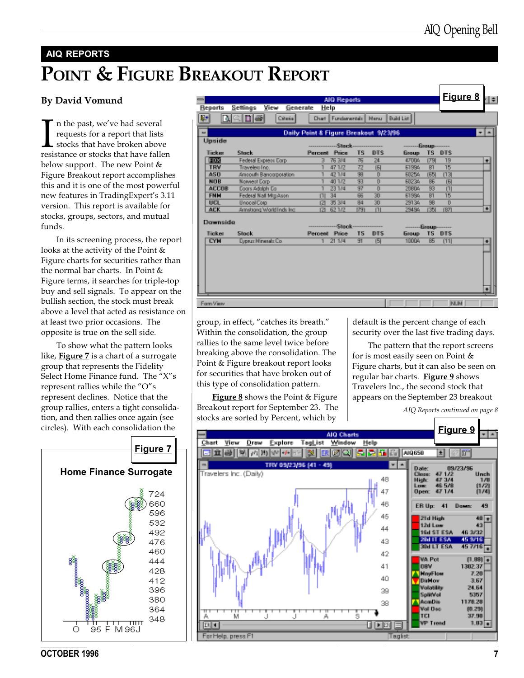## AIQ REPORTS POINT & FIGURE BREAKOUT REPORT

### By David Vomund

In the past, we've had several<br>requests for a report that lists<br>stocks that have broken above<br>resistance or stocks that have fallen n the past, we've had several requests for a report that lists stocks that have broken above below support. The new Point & Figure Breakout report accomplishes this and it is one of the most powerful new features in TradingExpert's 3.11 version. This report is available for stocks, groups, sectors, and mutual funds.

In its screening process, the report looks at the activity of the Point & Figure charts for securities rather than the normal bar charts. In Point & Figure terms, it searches for triple-top buy and sell signals. To appear on the bullish section, the stock must break above a level that acted as resistance on at least two prior occasions. The opposite is true on the sell side.

To show what the pattern looks like, **Figure 7** is a chart of a surrogate group that represents the Fidelity Select Home Finance fund. The "X"s represent rallies while the "O"s represent declines. Notice that the group rallies, enters a tight consolidation, and then rallies once again (see circles). With each consolidation the



| $\equiv$           |                                     | AIO Reports                        |                       |                 |                   |                               | Figure 8 | l÷.             |
|--------------------|-------------------------------------|------------------------------------|-----------------------|-----------------|-------------------|-------------------------------|----------|-----------------|
| <b>Beaerts</b>     | <b>Tiew</b><br>Generate:<br>Sciibea | Help                               |                       |                 |                   |                               |          |                 |
| 四                  | NBIH BI<br>Criteria:                | Chart   Fundamentals   Menu -      |                       |                 | Build List        |                               |          |                 |
| an.                |                                     | Daily Point & Figure Breakout 制定制御 |                       |                 |                   |                               |          | $\mathbf{r}$ al |
| Upside             |                                     |                                    |                       |                 |                   |                               |          |                 |
|                    |                                     |                                    |                       |                 | <b>CONTRACTOR</b> |                               |          |                 |
| Ticker             | Stock.                              | <b>France</b><br><b>Percent</b>    | TS.                   | DTS:            | Group.            | TS.<br>DTS:                   |          |                 |
| <b>FIRST</b>       | Federal Express Corp.               | 76, 244<br>$\mathbb{R}$            | 76.                   | 74.             | <b>AZTIDA</b>     | 1780<br>18                    |          | ÷               |
| <b>TRW</b>         | Travelett Lon-                      | 47.1/2                             | 72                    | ſЫ              | 61886             | 15<br>R1                      |          |                 |
| 250                | Amsouth Bandorpoiation              | 42.174                             | 39                    | $\mathbf{D}$    | 60254             | [13]<br><b>IEM</b>            |          |                 |
| <b>NOR</b>         | Noweed Corp.                        | 40.172                             | श्रा                  | n               | <b>BD234</b>      | BE.<br>间                      |          |                 |
| <b>ACCUR</b>       | Coors Adolph Co.                    | 23.174                             | 37                    | n               | 20804             | $\overline{53}$<br>Ш          |          |                 |
| FMM                | Federal Nail Mtg Assn.              | 34<br>Ш                            | $\overline{\Theta_0}$ | $\overline{30}$ | 61994             | $\overline{\mathbb{R}}$<br>15 |          |                 |
| UKR.               | Unocel Corp.                        | 35, 344<br>121                     | 84                    | $\overline{30}$ | 29134             | BB.<br>n                      |          |                 |
| AFK.               | Arristong World Inds Inc.           | 62.172<br>621                      | [79]                  | Ш               | 29484             | <b>1351</b><br><b>IB7</b>     |          | ¥.              |
| <b>Diremotific</b> |                                     |                                    |                       |                 |                   |                               |          |                 |
|                    |                                     |                                    |                       |                 | $\sim$            | Beaup-                        |          |                 |
| Tipker             | <b>Simple</b>                       | Percent Price                      | TS.                   | <b>DIES</b>     | Бавив             | TS<br>DTS:                    |          |                 |
| <b>EYN</b>         | <b>Doput Minimals Co.</b>           | 21.174                             | 91.                   | 151             | <b>FICCON</b>     | BS.<br>m                      |          | ۰               |
|                    |                                     |                                    |                       |                 |                   |                               |          |                 |
|                    |                                     |                                    |                       |                 |                   |                               |          |                 |
|                    |                                     |                                    |                       |                 |                   |                               |          |                 |
|                    |                                     |                                    |                       |                 |                   |                               |          |                 |
|                    |                                     |                                    |                       |                 |                   |                               |          |                 |
|                    |                                     |                                    |                       |                 |                   |                               |          |                 |
|                    |                                     |                                    |                       |                 |                   |                               |          | œ.              |
|                    |                                     |                                    |                       |                 |                   |                               |          |                 |
| Form View          |                                     |                                    |                       |                 |                   | <b>NUM</b>                    |          |                 |
|                    |                                     |                                    |                       |                 |                   |                               |          |                 |

group, in effect, "catches its breath." Within the consolidation, the group rallies to the same level twice before breaking above the consolidation. The Point & Figure breakout report looks for securities that have broken out of this type of consolidation pattern.

**Figure 8** shows the Point & Figure Breakout report for September 23. The stocks are sorted by Percent, which by

default is the percent change of each security over the last five trading days.

The pattern that the report screens for is most easily seen on Point & Figure charts, but it can also be seen on regular bar charts. Figure 9 shows Travelers Inc., the second stock that appears on the September 23 breakout

AIQ Reports continued on page 8